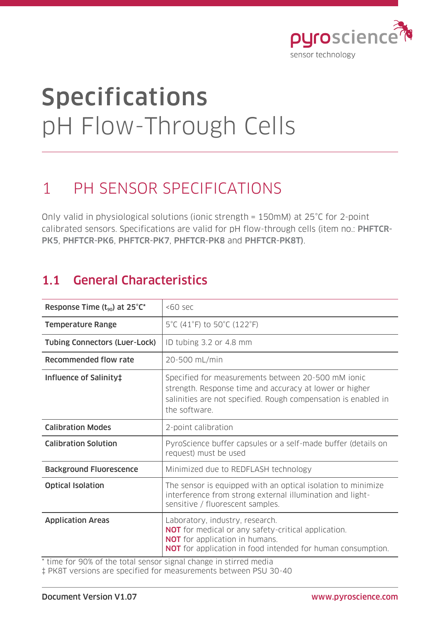

# Specifications pH Flow-Through Cells

### 1 PH SENSOR SPECIFICATIONS

Only valid in physiological solutions (ionic strength = 150mM) at 25°C for 2-point calibrated sensors. Specifications are valid for pH flow-through cells (item no.: PHFTCR-PK5, PHFTCR-PK6, PHFTCR-PK7, PHFTCR-PK8 and PHFTCR-PK8T).

### 1.1 General Characteristics

| Response Time $(t_{90})$ at 25°C*                                                               | $50$ sec                                                                                                                                                                                                     |
|-------------------------------------------------------------------------------------------------|--------------------------------------------------------------------------------------------------------------------------------------------------------------------------------------------------------------|
| <b>Temperature Range</b>                                                                        | 5°C (41°F) to 50°C (122°F)                                                                                                                                                                                   |
| <b>Tubing Connectors (Luer-Lock)</b>                                                            | ID tubing 3.2 or 4.8 mm                                                                                                                                                                                      |
| <b>Recommended flow rate</b>                                                                    | 20-500 mL/min                                                                                                                                                                                                |
| Influence of Salinity‡                                                                          | Specified for measurements between 20-500 mM ionic<br>strength. Response time and accuracy at lower or higher<br>salinities are not specified. Rough compensation is enabled in<br>the software.             |
| <b>Calibration Modes</b>                                                                        | 2-point calibration                                                                                                                                                                                          |
| <b>Calibration Solution</b>                                                                     | PyroScience buffer capsules or a self-made buffer (details on<br>request) must be used                                                                                                                       |
| <b>Background Fluorescence</b>                                                                  | Minimized due to REDFLASH technology                                                                                                                                                                         |
| <b>Optical Isolation</b>                                                                        | The sensor is equipped with an optical isolation to minimize<br>interference from strong external illumination and light-<br>sensitive / fluorescent samples.                                                |
| <b>Application Areas</b><br>$*$ time for 00% of the total concor signal change in stirred modia | Laboratory, industry, research.<br><b>NOT</b> for medical or any safety-critical application.<br><b>NOT</b> for application in humans.<br><b>NOT</b> for application in food intended for human consumption. |

time for 90% of the total sensor signal change in stirred media

‡ PK8T versions are specified for measurements between PSU 30-40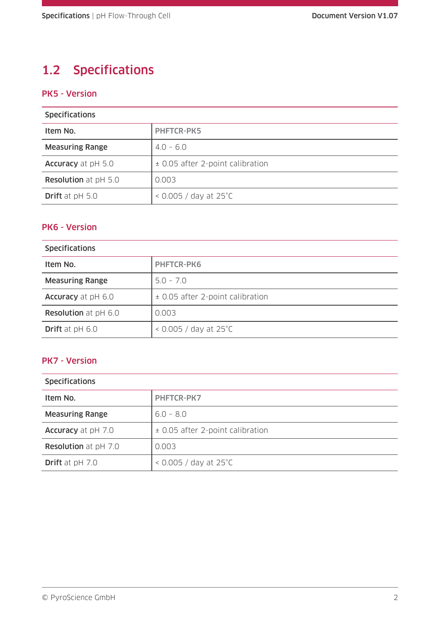### 1.2 Specifications

#### PK5 - Version

| <b>Specifications</b>       |                                    |
|-----------------------------|------------------------------------|
| Item No.                    | <b>PHFTCR-PK5</b>                  |
| <b>Measuring Range</b>      | $4.0 - 6.0$                        |
| Accuracy at pH 5.0          | ± 0.05 after 2-point calibration   |
| <b>Resolution</b> at pH 5.0 | 0.003                              |
| <b>Drift</b> at $pH$ 5.0    | $<$ 0.005 / day at 25 $^{\circ}$ C |

#### PK6 - Version

| <b>Specifications</b>       |                                    |
|-----------------------------|------------------------------------|
| Item No.                    | <b>PHFTCR-PK6</b>                  |
| <b>Measuring Range</b>      | $5.0 - 7.0$                        |
| <b>Accuracy</b> at pH 6.0   | ± 0.05 after 2-point calibration   |
| <b>Resolution</b> at pH 6.0 | 0.003                              |
| <b>Drift</b> at $pH 6.0$    | $<$ 0.005 / day at 25 $^{\circ}$ C |

#### PK7 - Version

| <b>Specifications</b>       |                                    |
|-----------------------------|------------------------------------|
| Item No.                    | <b>PHFTCR-PK7</b>                  |
| <b>Measuring Range</b>      | $6.0 - 8.0$                        |
| Accuracy at pH 7.0          | ± 0.05 after 2-point calibration   |
| <b>Resolution</b> at pH 7.0 | 0.003                              |
| Drift at pH 7.0             | $<$ 0.005 / day at 25 $^{\circ}$ C |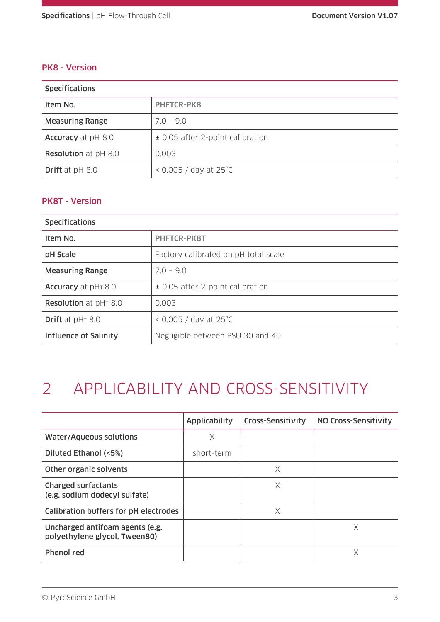#### PK8 - Version

| <b>Specifications</b>       |                                    |
|-----------------------------|------------------------------------|
| Item No.                    | <b>PHFTCR-PK8</b>                  |
| <b>Measuring Range</b>      | $7.0 - 9.0$                        |
| Accuracy at pH 8.0          | ± 0.05 after 2-point calibration   |
| <b>Resolution</b> at pH 8.0 | 0.003                              |
| <b>Drift</b> at $pH 8.0$    | $<$ 0.005 / day at 25 $^{\circ}$ C |

#### PK8T - Version

| <b>Specifications</b>        |                                      |
|------------------------------|--------------------------------------|
| Item No.                     | <b>PHFTCR-PK8T</b>                   |
| pH Scale                     | Factory calibrated on pH total scale |
| <b>Measuring Range</b>       | $70 - 90$                            |
| <b>Accuracy</b> at pHT 8.0   | ± 0.05 after 2-point calibration     |
| <b>Resolution</b> at pHT 8.0 | 0.003                                |
| <b>Drift</b> at $pH_7 8.0$   | $<$ 0.005 / day at 25 $^{\circ}$ C   |
| Influence of Salinity        | Negligible between PSU 30 and 40     |

# 2 APPLICABILITY AND CROSS-SENSITIVITY

|                                                                  | <b>Applicability</b> | <b>Cross-Sensitivity</b> | NO Cross-Sensitivity |
|------------------------------------------------------------------|----------------------|--------------------------|----------------------|
| <b>Water/Aqueous solutions</b>                                   | X                    |                          |                      |
| Diluted Ethanol (<5%)                                            | short-term           |                          |                      |
| Other organic solvents                                           |                      | X                        |                      |
| <b>Charged surfactants</b><br>(e.g. sodium dodecyl sulfate)      |                      | X                        |                      |
| Calibration buffers for pH electrodes                            |                      | X                        |                      |
| Uncharged antifoam agents (e.g.<br>polyethylene glycol, Tween80) |                      |                          | Χ                    |
| Phenol red                                                       |                      |                          | Χ                    |